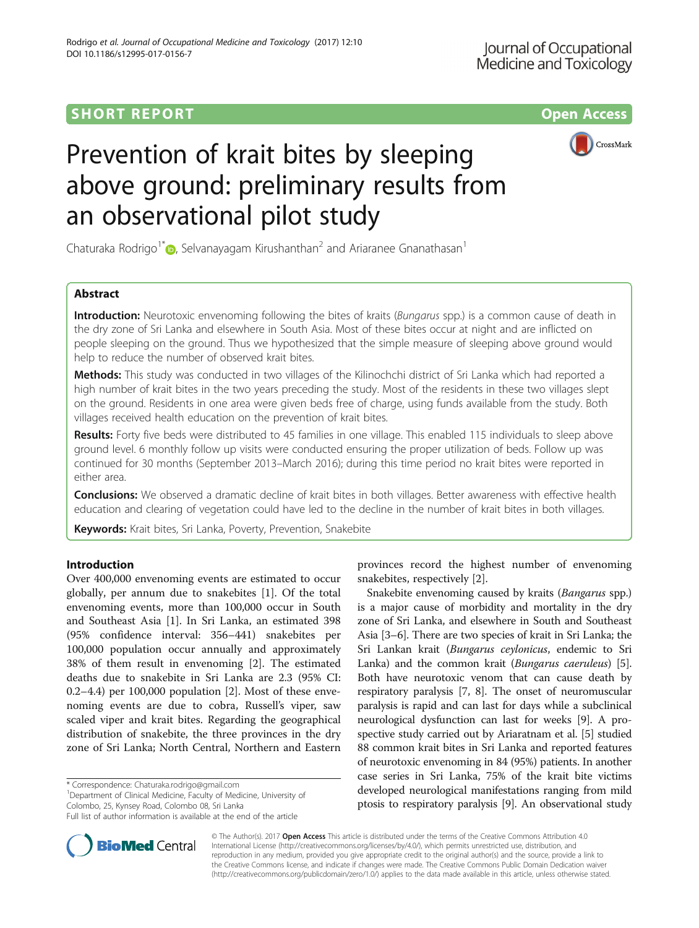# SHORT REPORT NAMEL AND THE SHORT CONSIDERED AT A CONSIDERED ASSESSED FOR A CONSIDERATION OF A CONSIDERATION OF THE STATE OF A CONSIDERATION OF THE STATE OF THE STATE OF THE STATE OF THE STATE OF THE STATE OF THE STATE OF T





# Prevention of krait bites by sleeping above ground: preliminary results from an observational pilot study

Chaturaka Rodrigo<sup>1\*</sup>  $\odot$ [,](http://orcid.org/0000-0003-2189-9177) Selvanayagam Kirushanthan<sup>2</sup> and Ariaranee Gnanathasan<sup>1</sup>

# Abstract

Introduction: Neurotoxic envenoming following the bites of kraits (Bungarus spp.) is a common cause of death in the dry zone of Sri Lanka and elsewhere in South Asia. Most of these bites occur at night and are inflicted on people sleeping on the ground. Thus we hypothesized that the simple measure of sleeping above ground would help to reduce the number of observed krait bites.

Methods: This study was conducted in two villages of the Kilinochchi district of Sri Lanka which had reported a high number of krait bites in the two years preceding the study. Most of the residents in these two villages slept on the ground. Residents in one area were given beds free of charge, using funds available from the study. Both villages received health education on the prevention of krait bites.

Results: Forty five beds were distributed to 45 families in one village. This enabled 115 individuals to sleep above ground level. 6 monthly follow up visits were conducted ensuring the proper utilization of beds. Follow up was continued for 30 months (September 2013–March 2016); during this time period no krait bites were reported in either area.

Conclusions: We observed a dramatic decline of krait bites in both villages. Better awareness with effective health education and clearing of vegetation could have led to the decline in the number of krait bites in both villages.

Keywords: Krait bites, Sri Lanka, Poverty, Prevention, Snakebite

# Introduction

Over 400,000 envenoming events are estimated to occur globally, per annum due to snakebites [[1\]](#page-4-0). Of the total envenoming events, more than 100,000 occur in South and Southeast Asia [[1\]](#page-4-0). In Sri Lanka, an estimated 398 (95% confidence interval: 356–441) snakebites per 100,000 population occur annually and approximately 38% of them result in envenoming [\[2](#page-4-0)]. The estimated deaths due to snakebite in Sri Lanka are 2.3 (95% CI: 0.2–4.4) per 100,000 population [[2\]](#page-4-0). Most of these envenoming events are due to cobra, Russell's viper, saw scaled viper and krait bites. Regarding the geographical distribution of snakebite, the three provinces in the dry zone of Sri Lanka; North Central, Northern and Eastern

\* Correspondence: [Chaturaka.rodrigo@gmail.com](mailto:Chaturaka.rodrigo@gmail.com) <sup>1</sup>

<sup>1</sup>Department of Clinical Medicine, Faculty of Medicine, University of Colombo, 25, Kynsey Road, Colombo 08, Sri Lanka



Snakebite envenoming caused by kraits (Bangarus spp.) is a major cause of morbidity and mortality in the dry zone of Sri Lanka, and elsewhere in South and Southeast Asia [\[3](#page-4-0)–[6](#page-4-0)]. There are two species of krait in Sri Lanka; the Sri Lankan krait (Bungarus ceylonicus, endemic to Sri Lanka) and the common krait (Bungarus caeruleus) [[5](#page-4-0)]. Both have neurotoxic venom that can cause death by respiratory paralysis [[7, 8](#page-4-0)]. The onset of neuromuscular paralysis is rapid and can last for days while a subclinical neurological dysfunction can last for weeks [[9\]](#page-4-0). A prospective study carried out by Ariaratnam et al. [\[5](#page-4-0)] studied 88 common krait bites in Sri Lanka and reported features of neurotoxic envenoming in 84 (95%) patients. In another case series in Sri Lanka, 75% of the krait bite victims developed neurological manifestations ranging from mild ptosis to respiratory paralysis [[9](#page-4-0)]. An observational study



© The Author(s). 2017 **Open Access** This article is distributed under the terms of the Creative Commons Attribution 4.0 International License [\(http://creativecommons.org/licenses/by/4.0/](http://creativecommons.org/licenses/by/4.0/)), which permits unrestricted use, distribution, and reproduction in any medium, provided you give appropriate credit to the original author(s) and the source, provide a link to the Creative Commons license, and indicate if changes were made. The Creative Commons Public Domain Dedication waiver [\(http://creativecommons.org/publicdomain/zero/1.0/](http://creativecommons.org/publicdomain/zero/1.0/)) applies to the data made available in this article, unless otherwise stated.

Full list of author information is available at the end of the article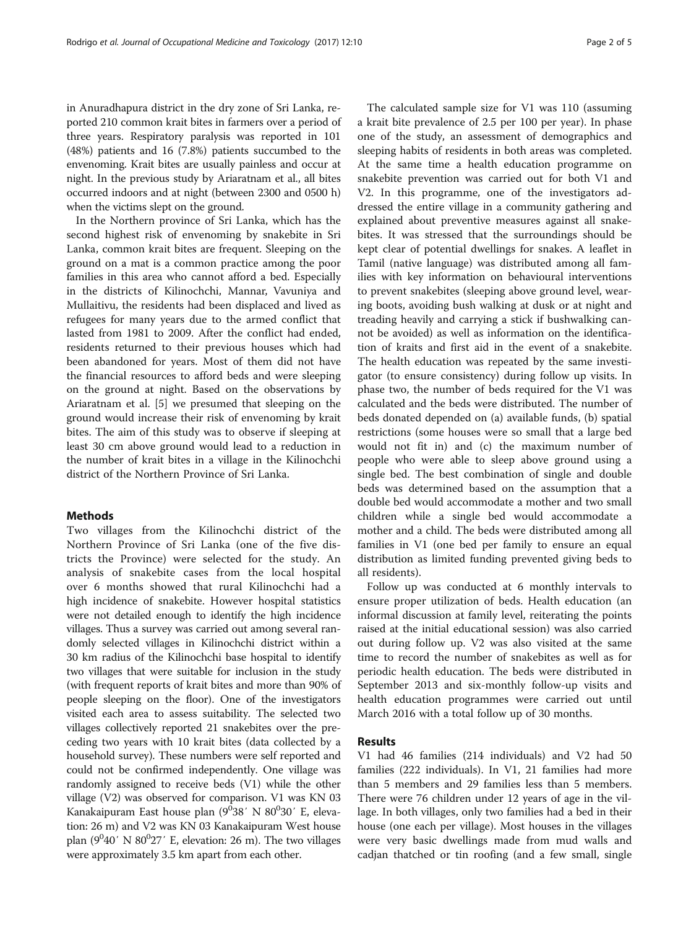in Anuradhapura district in the dry zone of Sri Lanka, reported 210 common krait bites in farmers over a period of three years. Respiratory paralysis was reported in 101 (48%) patients and 16 (7.8%) patients succumbed to the envenoming. Krait bites are usually painless and occur at night. In the previous study by Ariaratnam et al., all bites occurred indoors and at night (between 2300 and 0500 h) when the victims slept on the ground.

In the Northern province of Sri Lanka, which has the second highest risk of envenoming by snakebite in Sri Lanka, common krait bites are frequent. Sleeping on the ground on a mat is a common practice among the poor families in this area who cannot afford a bed. Especially in the districts of Kilinochchi, Mannar, Vavuniya and Mullaitivu, the residents had been displaced and lived as refugees for many years due to the armed conflict that lasted from 1981 to 2009. After the conflict had ended, residents returned to their previous houses which had been abandoned for years. Most of them did not have the financial resources to afford beds and were sleeping on the ground at night. Based on the observations by Ariaratnam et al. [\[5\]](#page-4-0) we presumed that sleeping on the ground would increase their risk of envenoming by krait bites. The aim of this study was to observe if sleeping at least 30 cm above ground would lead to a reduction in the number of krait bites in a village in the Kilinochchi district of the Northern Province of Sri Lanka.

## Methods

Two villages from the Kilinochchi district of the Northern Province of Sri Lanka (one of the five districts the Province) were selected for the study. An analysis of snakebite cases from the local hospital over 6 months showed that rural Kilinochchi had a high incidence of snakebite. However hospital statistics were not detailed enough to identify the high incidence villages. Thus a survey was carried out among several randomly selected villages in Kilinochchi district within a 30 km radius of the Kilinochchi base hospital to identify two villages that were suitable for inclusion in the study (with frequent reports of krait bites and more than 90% of people sleeping on the floor). One of the investigators visited each area to assess suitability. The selected two villages collectively reported 21 snakebites over the preceding two years with 10 krait bites (data collected by a household survey). These numbers were self reported and could not be confirmed independently. One village was randomly assigned to receive beds (V1) while the other village (V2) was observed for comparison. V1 was KN 03 Kanakaipuram East house plan (9<sup>0</sup>38' N 80<sup>0</sup>30' E, elevation: 26 m) and V2 was KN 03 Kanakaipuram West house plan  $(9^040'$  N  $80^027'$  E, elevation: 26 m). The two villages were approximately 3.5 km apart from each other.

The calculated sample size for V1 was 110 (assuming a krait bite prevalence of 2.5 per 100 per year). In phase one of the study, an assessment of demographics and sleeping habits of residents in both areas was completed. At the same time a health education programme on snakebite prevention was carried out for both V1 and V2. In this programme, one of the investigators addressed the entire village in a community gathering and explained about preventive measures against all snakebites. It was stressed that the surroundings should be kept clear of potential dwellings for snakes. A leaflet in Tamil (native language) was distributed among all families with key information on behavioural interventions to prevent snakebites (sleeping above ground level, wearing boots, avoiding bush walking at dusk or at night and treading heavily and carrying a stick if bushwalking cannot be avoided) as well as information on the identification of kraits and first aid in the event of a snakebite. The health education was repeated by the same investigator (to ensure consistency) during follow up visits. In phase two, the number of beds required for the V1 was calculated and the beds were distributed. The number of beds donated depended on (a) available funds, (b) spatial restrictions (some houses were so small that a large bed would not fit in) and (c) the maximum number of people who were able to sleep above ground using a single bed. The best combination of single and double beds was determined based on the assumption that a double bed would accommodate a mother and two small children while a single bed would accommodate a mother and a child. The beds were distributed among all families in V1 (one bed per family to ensure an equal distribution as limited funding prevented giving beds to all residents).

Follow up was conducted at 6 monthly intervals to ensure proper utilization of beds. Health education (an informal discussion at family level, reiterating the points raised at the initial educational session) was also carried out during follow up. V2 was also visited at the same time to record the number of snakebites as well as for periodic health education. The beds were distributed in September 2013 and six-monthly follow-up visits and health education programmes were carried out until March 2016 with a total follow up of 30 months.

# Results

V1 had 46 families (214 individuals) and V2 had 50 families (222 individuals). In V1, 21 families had more than 5 members and 29 families less than 5 members. There were 76 children under 12 years of age in the village. In both villages, only two families had a bed in their house (one each per village). Most houses in the villages were very basic dwellings made from mud walls and cadjan thatched or tin roofing (and a few small, single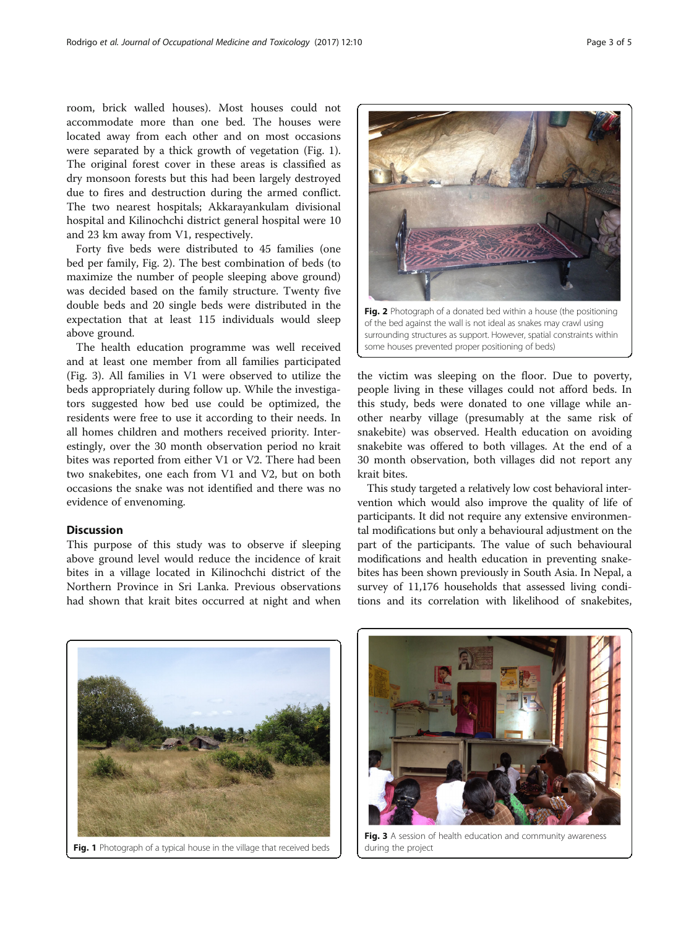room, brick walled houses). Most houses could not accommodate more than one bed. The houses were located away from each other and on most occasions were separated by a thick growth of vegetation (Fig. 1). The original forest cover in these areas is classified as dry monsoon forests but this had been largely destroyed due to fires and destruction during the armed conflict. The two nearest hospitals; Akkarayankulam divisional hospital and Kilinochchi district general hospital were 10 and 23 km away from V1, respectively.

Forty five beds were distributed to 45 families (one bed per family, Fig. 2). The best combination of beds (to maximize the number of people sleeping above ground) was decided based on the family structure. Twenty five double beds and 20 single beds were distributed in the expectation that at least 115 individuals would sleep above ground.

The health education programme was well received and at least one member from all families participated (Fig. 3). All families in V1 were observed to utilize the beds appropriately during follow up. While the investigators suggested how bed use could be optimized, the residents were free to use it according to their needs. In all homes children and mothers received priority. Interestingly, over the 30 month observation period no krait bites was reported from either V1 or V2. There had been two snakebites, one each from V1 and V2, but on both occasions the snake was not identified and there was no evidence of envenoming.

# Discussion

This purpose of this study was to observe if sleeping above ground level would reduce the incidence of krait bites in a village located in Kilinochchi district of the Northern Province in Sri Lanka. Previous observations had shown that krait bites occurred at night and when Fig. 2 Photograph of a donated bed within a house (the positioning of the bed against the wall is not ideal as snakes may crawl using surrounding structures as support. However, spatial constraints within some houses prevented proper positioning of beds)

the victim was sleeping on the floor. Due to poverty, people living in these villages could not afford beds. In this study, beds were donated to one village while another nearby village (presumably at the same risk of snakebite) was observed. Health education on avoiding snakebite was offered to both villages. At the end of a 30 month observation, both villages did not report any krait bites.

This study targeted a relatively low cost behavioral intervention which would also improve the quality of life of participants. It did not require any extensive environmental modifications but only a behavioural adjustment on the part of the participants. The value of such behavioural modifications and health education in preventing snakebites has been shown previously in South Asia. In Nepal, a survey of 11,176 households that assessed living conditions and its correlation with likelihood of snakebites,





Fig. 3 A session of health education and community awareness during the project

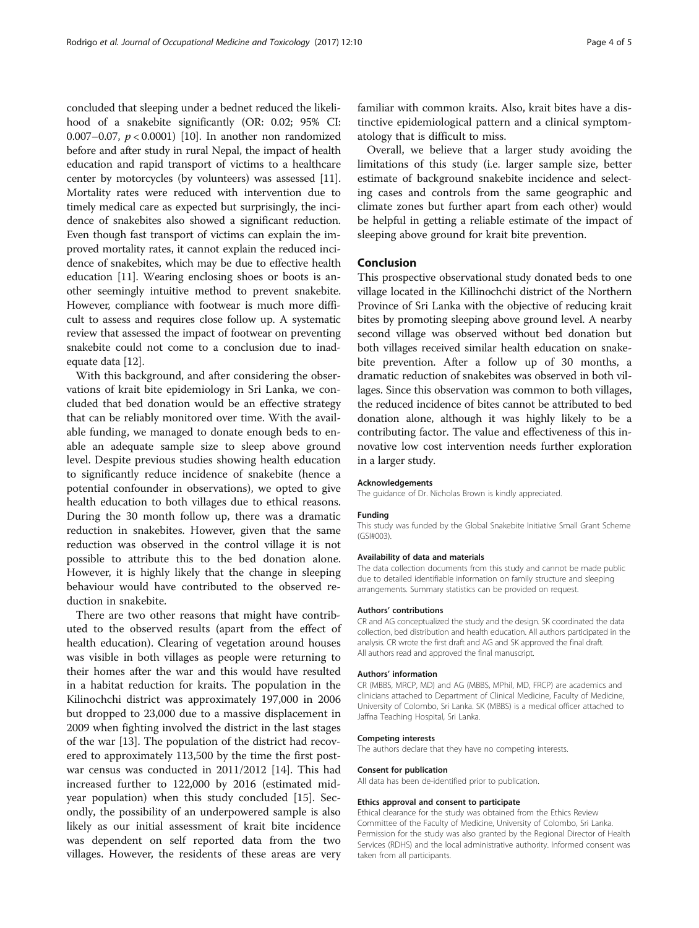concluded that sleeping under a bednet reduced the likelihood of a snakebite significantly (OR: 0.02; 95% CI: 0.007–0.07,  $p < 0.0001$  [\[10\]](#page-4-0). In another non randomized before and after study in rural Nepal, the impact of health education and rapid transport of victims to a healthcare center by motorcycles (by volunteers) was assessed [[11](#page-4-0)]. Mortality rates were reduced with intervention due to timely medical care as expected but surprisingly, the incidence of snakebites also showed a significant reduction. Even though fast transport of victims can explain the improved mortality rates, it cannot explain the reduced incidence of snakebites, which may be due to effective health education [\[11\]](#page-4-0). Wearing enclosing shoes or boots is another seemingly intuitive method to prevent snakebite. However, compliance with footwear is much more difficult to assess and requires close follow up. A systematic review that assessed the impact of footwear on preventing snakebite could not come to a conclusion due to inadequate data [\[12\]](#page-4-0).

With this background, and after considering the observations of krait bite epidemiology in Sri Lanka, we concluded that bed donation would be an effective strategy that can be reliably monitored over time. With the available funding, we managed to donate enough beds to enable an adequate sample size to sleep above ground level. Despite previous studies showing health education to significantly reduce incidence of snakebite (hence a potential confounder in observations), we opted to give health education to both villages due to ethical reasons. During the 30 month follow up, there was a dramatic reduction in snakebites. However, given that the same reduction was observed in the control village it is not possible to attribute this to the bed donation alone. However, it is highly likely that the change in sleeping behaviour would have contributed to the observed reduction in snakebite.

There are two other reasons that might have contributed to the observed results (apart from the effect of health education). Clearing of vegetation around houses was visible in both villages as people were returning to their homes after the war and this would have resulted in a habitat reduction for kraits. The population in the Kilinochchi district was approximately 197,000 in 2006 but dropped to 23,000 due to a massive displacement in 2009 when fighting involved the district in the last stages of the war [\[13](#page-4-0)]. The population of the district had recovered to approximately 113,500 by the time the first postwar census was conducted in 2011/2012 [\[14](#page-4-0)]. This had increased further to 122,000 by 2016 (estimated midyear population) when this study concluded [\[15](#page-4-0)]. Secondly, the possibility of an underpowered sample is also likely as our initial assessment of krait bite incidence was dependent on self reported data from the two villages. However, the residents of these areas are very

familiar with common kraits. Also, krait bites have a distinctive epidemiological pattern and a clinical symptomatology that is difficult to miss.

Overall, we believe that a larger study avoiding the limitations of this study (i.e. larger sample size, better estimate of background snakebite incidence and selecting cases and controls from the same geographic and climate zones but further apart from each other) would be helpful in getting a reliable estimate of the impact of sleeping above ground for krait bite prevention.

## Conclusion

This prospective observational study donated beds to one village located in the Killinochchi district of the Northern Province of Sri Lanka with the objective of reducing krait bites by promoting sleeping above ground level. A nearby second village was observed without bed donation but both villages received similar health education on snakebite prevention. After a follow up of 30 months, a dramatic reduction of snakebites was observed in both villages. Since this observation was common to both villages, the reduced incidence of bites cannot be attributed to bed donation alone, although it was highly likely to be a contributing factor. The value and effectiveness of this innovative low cost intervention needs further exploration in a larger study.

#### Acknowledgements

The guidance of Dr. Nicholas Brown is kindly appreciated.

#### Funding

This study was funded by the Global Snakebite Initiative Small Grant Scheme (GSI#003).

#### Availability of data and materials

The data collection documents from this study and cannot be made public due to detailed identifiable information on family structure and sleeping arrangements. Summary statistics can be provided on request.

#### Authors' contributions

CR and AG conceptualized the study and the design. SK coordinated the data collection, bed distribution and health education. All authors participated in the analysis. CR wrote the first draft and AG and SK approved the final draft. All authors read and approved the final manuscript.

#### Authors' information

CR (MBBS, MRCP, MD) and AG (MBBS, MPhil, MD, FRCP) are academics and clinicians attached to Department of Clinical Medicine, Faculty of Medicine, University of Colombo, Sri Lanka. SK (MBBS) is a medical officer attached to Jaffna Teaching Hospital, Sri Lanka.

### Competing interests

The authors declare that they have no competing interests.

#### Consent for publication

All data has been de-identified prior to publication.

#### Ethics approval and consent to participate

Ethical clearance for the study was obtained from the Ethics Review Committee of the Faculty of Medicine, University of Colombo, Sri Lanka. Permission for the study was also granted by the Regional Director of Health Services (RDHS) and the local administrative authority. Informed consent was taken from all participants.